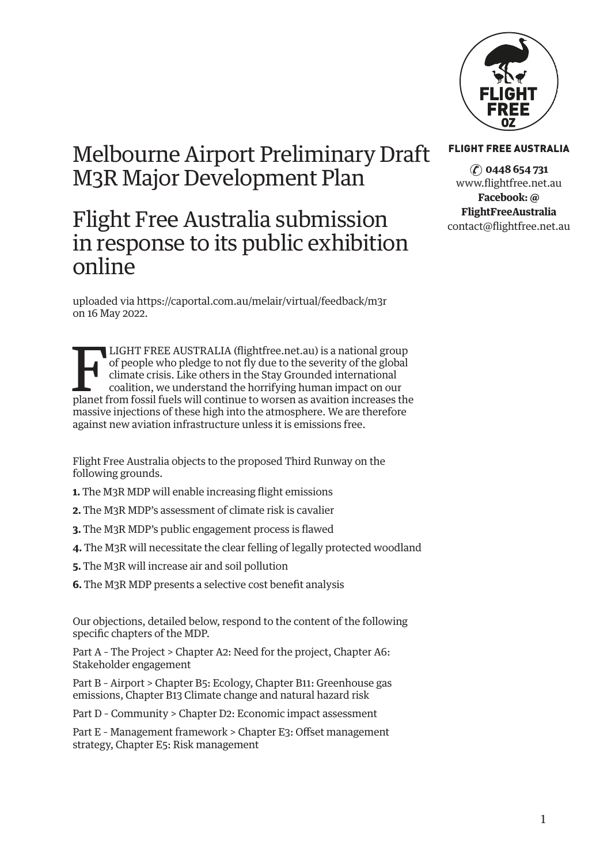

# Melbourne Airport Preliminary Draft M3R Major Development Plan

# Flight Free Australia submission in response to its public exhibition online

uploaded via<https://caportal.com.au/melair/virtual/feedback/m3r> on 16 May 2022.

LIGHT FREE AUSTRALIA (flightfree.net.au) is a national group<br>of people who pledge to not fly due to the severity of the global<br>climate crisis. Like others in the Stay Grounded international<br>coalition, we understand the hor of people who pledge to not fly due to the severity of the global climate crisis. Like others in the Stay Grounded international coalition, we understand the horrifying human impact on our planet from fossil fuels will continue to worsen as avaition increases the massive injections of these high into the atmosphere. We are therefore against new aviation infrastructure unless it is emissions free.

Flight Free Australia objects to the proposed Third Runway on the following grounds.

- **1.** The M3R MDP will enable increasing flight emissions
- **2.** The M3R MDP's assessment of climate risk is cavalier
- **3.** The M3R MDP's public engagement process is flawed
- **4.** The M3R will necessitate the clear felling of legally protected woodland
- **5.** The M3R will increase air and soil pollution
- **6.** The M3R MDP presents a selective cost benefit analysis

Our objections, detailed below, respond to the content of the following specific chapters of the MDP.

Part A – The Project > Chapter A2: Need for the project, Chapter A6: Stakeholder engagement

Part B – Airport > Chapter B5: Ecology, Chapter B11: Greenhouse gas emissions, Chapter B13 Climate change and natural hazard risk

Part D – Community > Chapter D2: Economic impact assessment

Part E – Management framework > Chapter E3: Offset management strategy, Chapter E5: Risk management

#### FLIGHT FREE AUSTRALIA

✆ **0448 654 731** [www.flightfree.net.au](http://www.flightfree.net.au) **Facebook: @ FlightFreeAustralia** [contact@flightfree.net.au](mailto:contact@flightfree.net.au)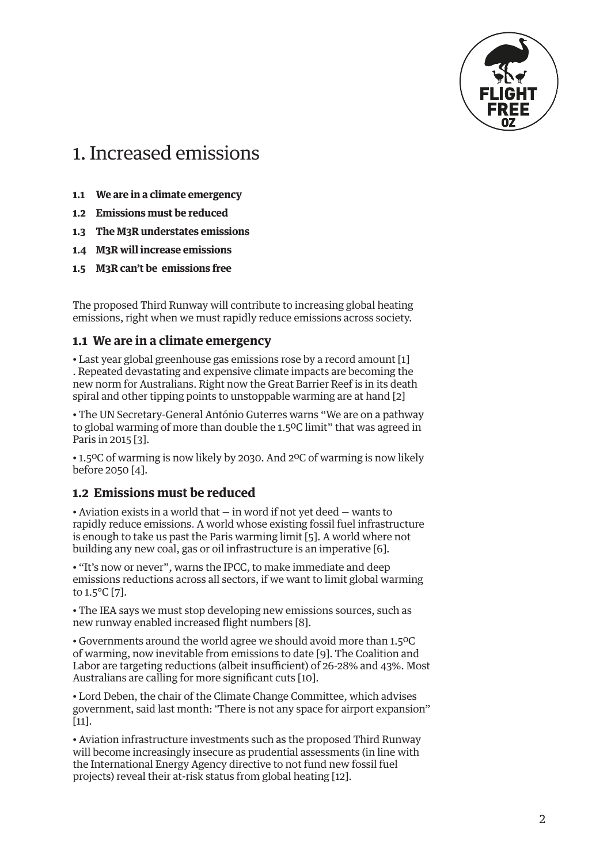

# <span id="page-1-0"></span>1. Increased emissions

- **1.1 We are in a climate emergency**
- **1.2 Emissions must be reduced**
- **1.3 The M3R understates emissions**
- **1.4 M3R will increase emissions**
- **1.5 M3R can't be emissions free**

The proposed Third Runway will contribute to increasing global heating emissions, right when we must rapidly reduce emissions across society.

#### **1.1 We are in a climate emergency**

• Last year global greenhouse gas emissions rose by a record amount [\[1\]](#page-16-0) . Repeated devastating and expensive climate impacts are becoming the new norm for Australians. Right now the Great Barrier Reef is in its death spiral and other tipping points to unstoppable warming are at hand [\[2](#page-16-0)]

• The UN Secretary-General António Guterres warns "We are on a pathway to global warming of more than double the 1.5ºC limit" that was agreed in Paris in 2015 [[3\]](#page-16-0).

• 1.5ºC of warming is now likely by 2030. And 2ºC of warming is now likely before 2050 [\[4](#page-16-0)].

### **1.2 Emissions must be reduced**

• Aviation exists in a world that — in word if not yet deed — wants to rapidly reduce emissions. A world whose existing fossil fuel infrastructure is enough to take us past the Paris warming limit [[5\]](#page-16-0). A world where not building any new coal, gas or oil infrastructure is an imperative [\[6](#page-16-0)].

• "It's now or never", warns the IPCC, to make immediate and deep emissions reductions across all sectors, if we want to limit global warming to 1.5°C [[7](#page-16-0)].

• The IEA says we must stop developing new emissions sources, such as new runway enabled increased flight numbers [\[8\]](#page-16-0).

• Governments around the world agree we should avoid more than 1.5ºC of warming, now inevitable from emissions to date [[9\]](#page-16-0). The Coalition and Labor are targeting reductions (albeit insufficient) of 26-28% and 43%. Most Australians are calling for more significant cuts [[10](#page-16-0)].

• Lord Deben, the chair of the Climate Change Committee, which advises government, said last month: "There is not any space for airport expansion" [[11](#page-16-0)].

• Aviation infrastructure investments such as the proposed Third Runway will become increasingly insecure as prudential assessments (in line with the International Energy Agency directive to not fund new fossil fuel projects) reveal their at-risk status from global heating [[12](#page-16-0)].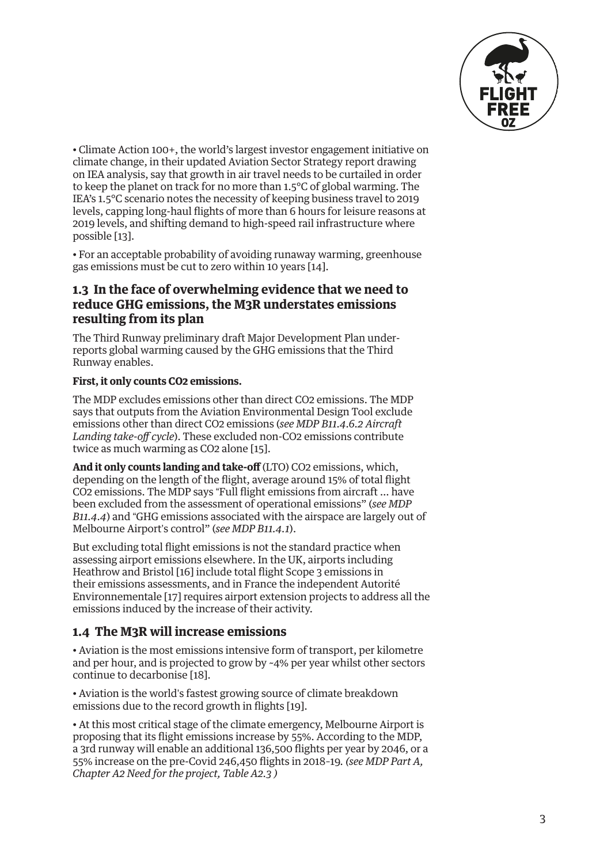

<span id="page-2-0"></span>• Climate Action 100+, the world's largest investor engagement initiative on climate change, in their updated Aviation Sector Strategy report drawing on IEA analysis, say that growth in air travel needs to be curtailed in order to keep the planet on track for no more than 1.5°C of global warming. The IEA's 1.5°C scenario notes the necessity of keeping business travel to 2019 levels, capping long-haul flights of more than 6 hours for leisure reasons at 2019 levels, and shifting demand to high-speed rail infrastructure where possible [[13](#page-16-0)].

• For an acceptable probability of avoiding runaway warming, greenhouse gas emissions must be cut to zero within 10 years [\[14\]](#page-16-0).

### **1.3 In the face of overwhelming evidence that we need to reduce GHG emissions, the M3R understates emissions resulting from its plan**

The Third Runway preliminary draft Major Development Plan underreports global warming caused by the GHG emissions that the Third Runway enables.

#### **First, it only counts CO2 emissions.**

The MDP excludes emissions other than direct CO2 emissions. The MDP says that outputs from the Aviation Environmental Design Tool exclude emissions other than direct CO2 emissions (*see MDP B11.4.6.2 Aircraft Landing take-off cycle*). These excluded non-CO2 emissions contribute twice as much warming as CO2 alone [[15](#page-16-0)].

**And it only counts landing and take-off** (LTO) CO2 emissions, which, depending on the length of the flight, average around 15% of total flight CO2 emissions. The MDP says "Full flight emissions from aircraft … have been excluded from the assessment of operational emissions" (*see MDP B11.4.4*) and "GHG emissions associated with the airspace are largely out of Melbourne Airport's control" (*see MDP B11.4.1*).

But excluding total flight emissions is not the standard practice when assessing airport emissions elsewhere. In the UK, airports including Heathrow and Bristol [\[16](#page-16-0)] include total flight Scope 3 emissions in their emissions assessments, and in France the independent Autorité Environnementale [[17](#page-16-0)] requires airport extension projects to address all the emissions induced by the increase of their activity.

#### **1.4 The M3R will increase emissions**

• Aviation is the most emissions intensive form of transport, per kilometre and per hour, and is projected to grow by ~4% per year whilst other sectors continue to decarbonise [[18\]](#page-16-0).

• Aviation is the world's fastest growing source of climate breakdown emissions due to the record growth in flights [[19\]](#page-16-0).

• At this most critical stage of the climate emergency, Melbourne Airport is proposing that its flight emissions increase by 55%. According to the MDP, a 3rd runway will enable an additional 136,500 flights per year by 2046, or a 55% increase on the pre-Covid 246,450 flights in 2018–19*. (see MDP Part A, Chapter A2 Need for the project, Table A2.3 )*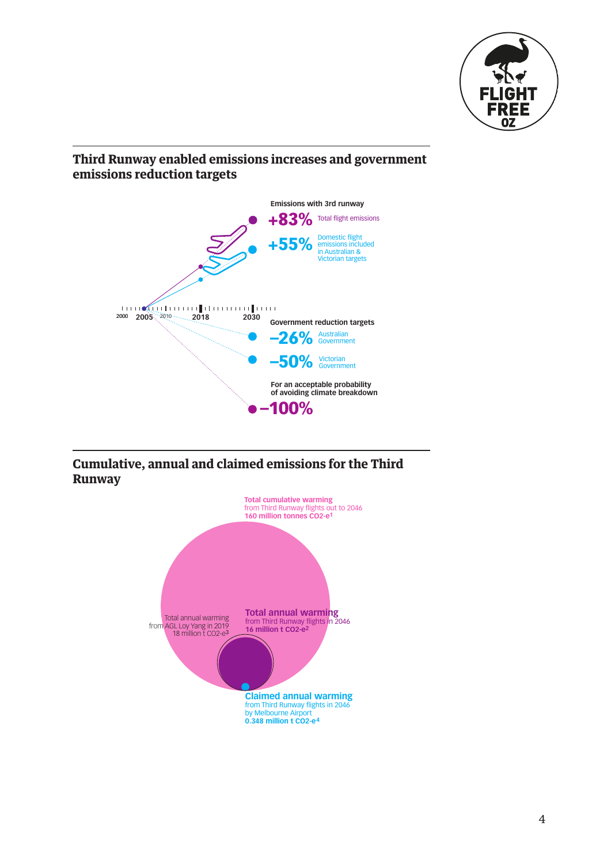

# **Third Runway enabled emissions increases and government** emissions reduction targets



Cumulative, annual and claimed emissions for the Third<br>Runway **Runway**  $\overline{7}$ Melbourne Airport 3rd runway enabled flight emissions

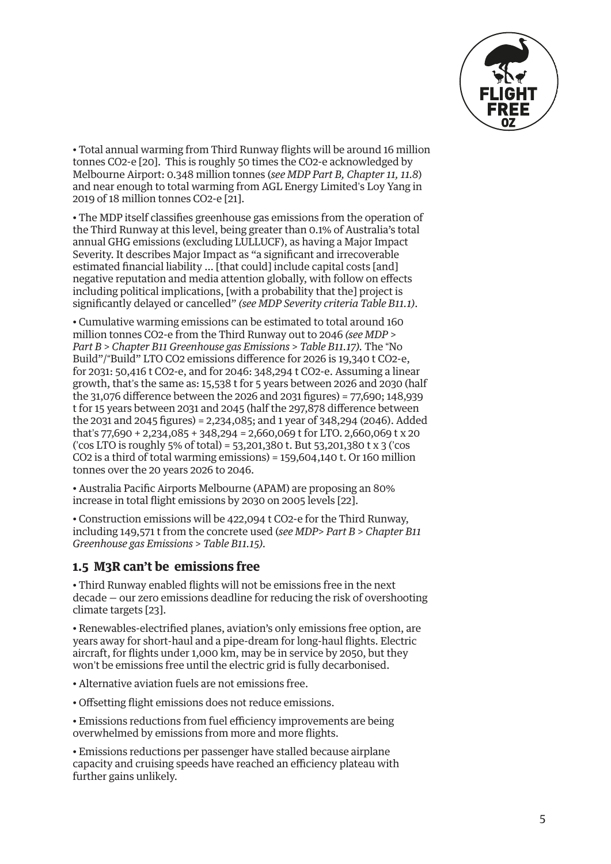

<span id="page-4-0"></span>• Total annual warming from Third Runway flights will be around 16 million tonnes CO2-e [[20](#page-16-0)]. This is roughly 50 times the CO2-e acknowledged by Melbourne Airport: 0.348 million tonnes (*see MDP Part B, Chapter 11, 11.8*) and near enough to total warming from AGL Energy Limited's Loy Yang in 2019 of 18 million tonnes CO2-e [\[21\]](#page-17-0).

• The MDP itself classifies greenhouse gas emissions from the operation of the Third Runway at this level, being greater than 0.1% of Australia's total annual GHG emissions (excluding LULLUCF), as having a Major Impact Severity. It describes Major Impact as "a significant and irrecoverable estimated financial liability … [that could] include capital costs [and] negative reputation and media attention globally, with follow on effects including political implications, [with a probability that the] project is significantly delayed or cancelled" *(see MDP Severity criteria Table B11.1)*.

• Cumulative warming emissions can be estimated to total around 160 million tonnes CO2-e from the Third Runway out to 2046 *(see MDP > Part B > Chapter B11 Greenhouse gas Emissions > Table B11.17).* The "No Build"/"Build" LTO CO2 emissions difference for 2026 is 19,340 t CO2-e, for 2031: 50,416 t CO2-e, and for 2046: 348,294 t CO2-e. Assuming a linear growth, that's the same as: 15,538 t for 5 years between 2026 and 2030 (half the 31,076 difference between the 2026 and 2031 figures) = 77,690; 148,939 t for 15 years between 2031 and 2045 (half the 297,878 difference between the 2031 and 2045 figures) = 2,234,085; and 1 year of 348,294 (2046). Added that's 77,690 + 2,234,085 + 348,294 = 2,660,069 t for LTO. 2,660,069 t x 20 ('cos LTO is roughly 5% of total) = 53,201,380 t. But 53,201,380 t x 3 ('cos CO2 is a third of total warming emissions) = 159,604,140 t. Or 160 million tonnes over the 20 years 2026 to 2046.

• Australia Pacific Airports Melbourne (APAM) are proposing an 80% increase in total flight emissions by 2030 on 2005 levels [\[22\]](#page-17-0).

• Construction emissions will be 422,094 t CO2-e for the Third Runway, including 149,571 t from the concrete used (*see MDP> Part B > Chapter B11 Greenhouse gas Emissions > Table B11.15).* 

### **1.5 M3R can't be emissions free**

• Third Runway enabled flights will not be emissions free in the next decade — our zero emissions deadline for reducing the risk of overshooting climate targets [\[23](#page-17-0)].

• Renewables-electrified planes, aviation's only emissions free option, are years away for short-haul and a pipe-dream for long-haul flights. Electric aircraft, for flights under 1,000 km, may be in service by 2050, but they won't be emissions free until the electric grid is fully decarbonised.

- Alternative aviation fuels are not emissions free.
- Offsetting flight emissions does not reduce emissions.

• Emissions reductions from fuel efficiency improvements are being overwhelmed by emissions from more and more flights.

• Emissions reductions per passenger have stalled because airplane capacity and cruising speeds have reached an efficiency plateau with further gains unlikely.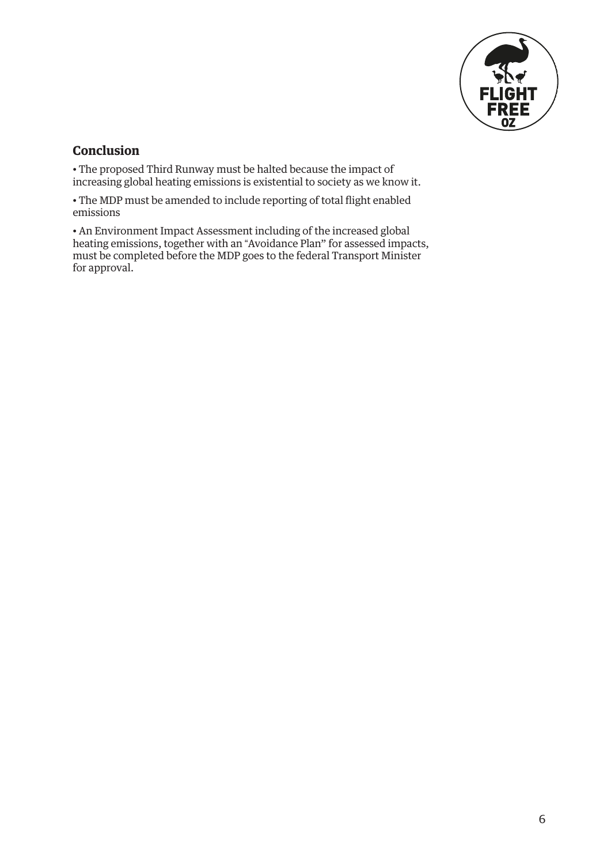

### **Conclusion**

• The proposed Third Runway must be halted because the impact of increasing global heating emissions is existential to society as we know it.

• The MDP must be amended to include reporting of total flight enabled emissions

• An Environment Impact Assessment including of the increased global heating emissions, together with an "Avoidance Plan" for assessed impacts, must be completed before the MDP goes to the federal Transport Minister for approval.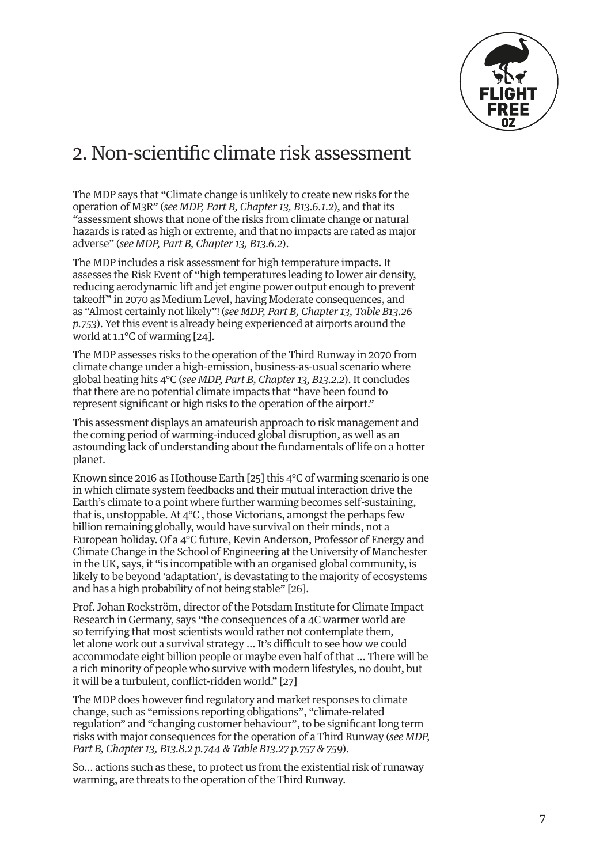

# <span id="page-6-0"></span>2. Non-scientific climate risk assessment

The MDP says that "Climate change is unlikely to create new risks for the operation of M3R" (*see MDP, Part B, Chapter 13, B13.6.1.2*), and that its "assessment shows that none of the risks from climate change or natural hazards is rated as high or extreme, and that no impacts are rated as major adverse" (*see MDP, Part B, Chapter 13, B13.6.2*).

The MDP includes a risk assessment for high temperature impacts. It assesses the Risk Event of "high temperatures leading to lower air density, reducing aerodynamic lift and jet engine power output enough to prevent takeoff" in 2070 as Medium Level, having Moderate consequences, and as "Almost certainly not likely"! (*see MDP, Part B, Chapter 13, Table B13.26 p.753*). Yet this event is already being experienced at airports around the world at 1.1°C of warming [[24\]](#page-17-0).

The MDP assesses risks to the operation of the Third Runway in 2070 from climate change under a high-emission, business-as-usual scenario where global heating hits 4°C (*see MDP, Part B, Chapter 13, B13.2.2*). It concludes that there are no potential climate impacts that "have been found to represent significant or high risks to the operation of the airport."

This assessment displays an amateurish approach to risk management and the coming period of warming-induced global disruption, as well as an astounding lack of understanding about the fundamentals of life on a hotter planet.

Known since 2016 as Hothouse Earth [\[25](#page-17-0)] this 4°C of warming scenario is one in which climate system feedbacks and their mutual interaction drive the Earth's climate to a point where further warming becomes self-sustaining, that is, unstoppable. At 4°C , those Victorians, amongst the perhaps few billion remaining globally, would have survival on their minds, not a European holiday. Of a 4°C future, Kevin Anderson, Professor of Energy and Climate Change in the School of Engineering at the University of Manchester in the UK, says, it "is incompatible with an organised global community, is likely to be beyond 'adaptation', is devastating to the majority of ecosystems and has a high probability of not being stable" [\[26\]](#page-17-0).

Prof. Johan Rockström, director of the Potsdam Institute for Climate Impact Research in Germany, says "the consequences of a 4C warmer world are so terrifying that most scientists would rather not contemplate them, let alone work out a survival strategy … It's difficult to see how we could accommodate eight billion people or maybe even half of that … There will be a rich minority of people who survive with modern lifestyles, no doubt, but it will be a turbulent, conflict-ridden world." [\[27](#page-17-0)]

The MDP does however find regulatory and market responses to climate change, such as "emissions reporting obligations", "climate-related regulation" and "changing customer behaviour", to be significant long term risks with major consequences for the operation of a Third Runway (*see MDP, Part B, Chapter 13, B13.8.2 p.744 & Table B13.27 p.757 & 759*).

So… actions such as these, to protect us from the existential risk of runaway warming, are threats to the operation of the Third Runway.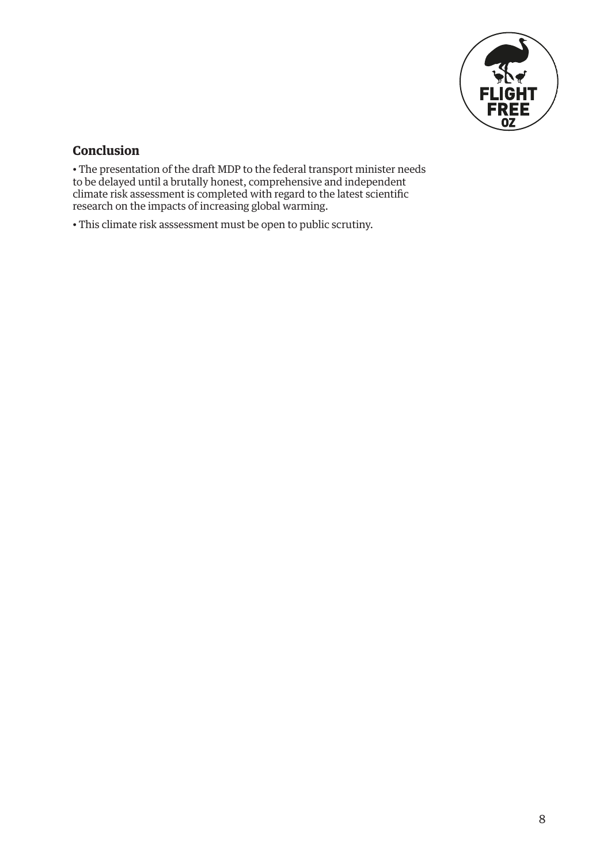

### **Conclusion**

• The presentation of the draft MDP to the federal transport minister needs to be delayed until a brutally honest, comprehensive and independent climate risk assessment is completed with regard to the latest scientific research on the impacts of increasing global warming.

• This climate risk asssessment must be open to public scrutiny.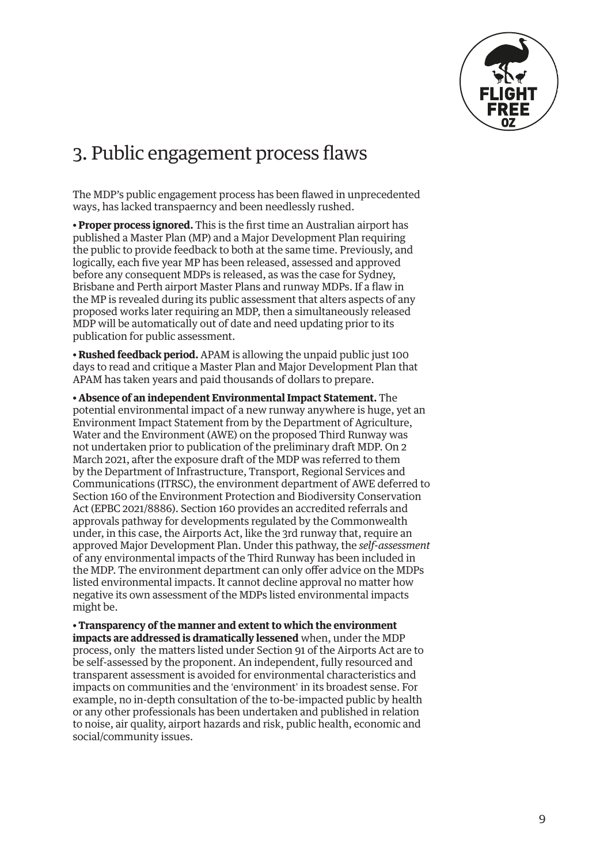

# 3. Public engagement process flaws

The MDP's public engagement process has been flawed in unprecedented ways, has lacked transpaerncy and been needlessly rushed.

**• Proper process ignored.** This is the first time an Australian airport has published a Master Plan (MP) and a Major Development Plan requiring the public to provide feedback to both at the same time. Previously, and logically, each five year MP has been released, assessed and approved before any consequent MDPs is released, as was the case for Sydney, Brisbane and Perth airport Master Plans and runway MDPs. If a flaw in the MP is revealed during its public assessment that alters aspects of any proposed works later requiring an MDP, then a simultaneously released MDP will be automatically out of date and need updating prior to its publication for public assessment.

**• Rushed feedback period.** APAM is allowing the unpaid public just 100 days to read and critique a Master Plan and Major Development Plan that APAM has taken years and paid thousands of dollars to prepare.

**• Absence of an independent Environmental Impact Statement.** The potential environmental impact of a new runway anywhere is huge, yet an Environment Impact Statement from by the Department of Agriculture, Water and the Environment (AWE) on the proposed Third Runway was not undertaken prior to publication of the preliminary draft MDP. On 2 March 2021, after the exposure draft of the MDP was referred to them by the Department of Infrastructure, Transport, Regional Services and Communications (ITRSC), the environment department of AWE deferred to Section 160 of the Environment Protection and Biodiversity Conservation Act (EPBC 2021/8886). Section 160 provides an accredited referrals and approvals pathway for developments regulated by the Commonwealth under, in this case, the Airports Act, like the 3rd runway that, require an approved Major Development Plan. Under this pathway, the *self-assessment* of any environmental impacts of the Third Runway has been included in the MDP. The environment department can only offer advice on the MDPs listed environmental impacts. It cannot decline approval no matter how negative its own assessment of the MDPs listed environmental impacts might be.

**• Transparency of the manner and extent to which the environment impacts are addressed is dramatically lessened** when, under the MDP process, only the matters listed under Section 91 of the Airports Act are to be self-assessed by the proponent. An independent, fully resourced and transparent assessment is avoided for environmental characteristics and impacts on communities and the 'environment' in its broadest sense. For example, no in-depth consultation of the to-be-impacted public by health or any other professionals has been undertaken and published in relation to noise, air quality, airport hazards and risk, public health, economic and social/community issues.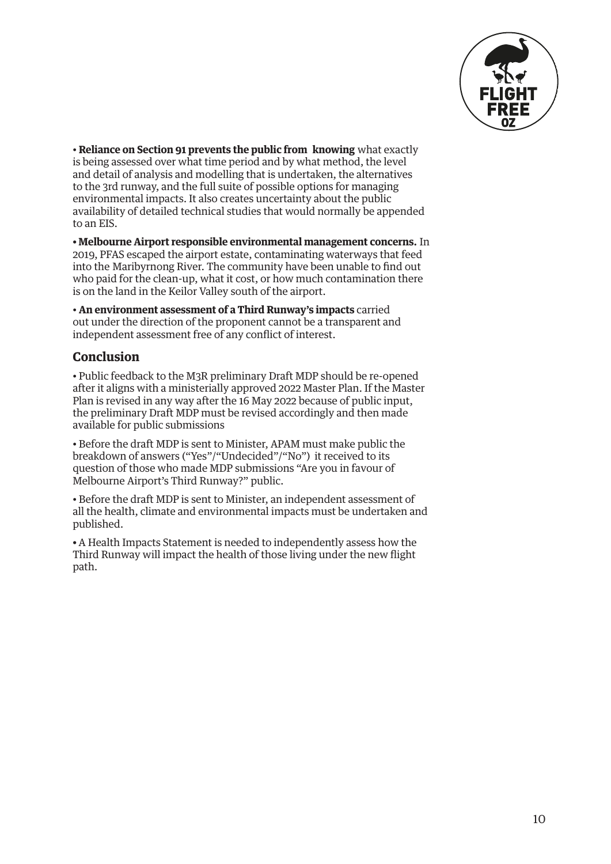

• **Reliance on Section 91 prevents the public from knowing** what exactly is being assessed over what time period and by what method, the level and detail of analysis and modelling that is undertaken, the alternatives to the 3rd runway, and the full suite of possible options for managing environmental impacts. It also creates uncertainty about the public availability of detailed technical studies that would normally be appended to an EIS.

**• Melbourne Airport responsible environmental management concerns.** In 2019, PFAS escaped the airport estate, contaminating waterways that feed into the Maribyrnong River. The community have been unable to find out who paid for the clean-up, what it cost, or how much contamination there is on the land in the Keilor Valley south of the airport.

• **An environment assessment of a Third Runway's impacts** carried out under the direction of the proponent cannot be a transparent and independent assessment free of any conflict of interest.

### **Conclusion**

• Public feedback to the M3R preliminary Draft MDP should be re-opened after it aligns with a ministerially approved 2022 Master Plan. If the Master Plan is revised in any way after the 16 May 2022 because of public input, the preliminary Draft MDP must be revised accordingly and then made available for public submissions

• Before the draft MDP is sent to Minister, APAM must make public the breakdown of answers ("Yes"/"Undecided"/"No") it received to its question of those who made MDP submissions "Are you in favour of Melbourne Airport's Third Runway?" public.

• Before the draft MDP is sent to Minister, an independent assessment of all the health, climate and environmental impacts must be undertaken and published.

**•** A Health Impacts Statement is needed to independently assess how the Third Runway will impact the health of those living under the new flight path.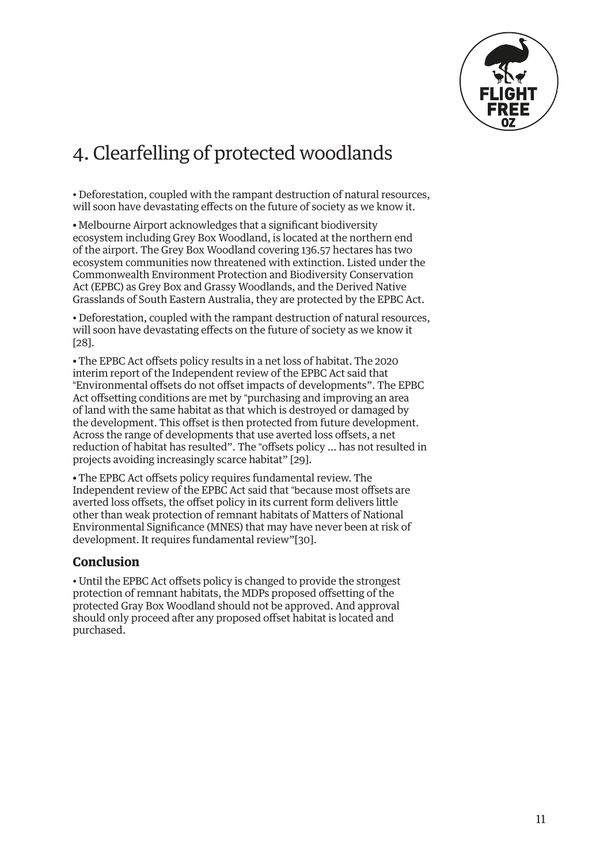

# <span id="page-10-0"></span>4. Clearfelling of protected woodlands

• Deforestation, coupled with the rampant destruction of natural resources, will soon have devastating effects on the future of society as we know it.

**•** Melbourne Airport acknowledges that a significant biodiversity ecosystem including Grey Box Woodland, is located at the northern end of the airport. The Grey Box Woodland covering 136.57 hectares has two ecosystem communities now threatened with extinction. Listed under the Commonwealth Environment Protection and Biodiversity Conservation Act (EPBC) as Grey Box and Grassy Woodlands, and the Derived Native Grasslands of South Eastern Australia, they are protected by the EPBC Act.

• Deforestation, coupled with the rampant destruction of natural resources, will soon have devastating effects on the future of society as we know it [[28](#page-18-0)].

**•** The EPBC Act offsets policy results in a net loss of habitat. The 2020 interim report of the Independent review of the EPBC Act said that "Environmental offsets do not offset impacts of developments". The EPBC Act offsetting conditions are met by "purchasing and improving an area of land with the same habitat as that which is destroyed or damaged by the development. This offset is then protected from future development. Across the range of developments that use averted loss offsets, a net reduction of habitat has resulted". The "offsets policy … has not resulted in projects avoiding increasingly scarce habitat" [\[29](#page-18-0)].

**•** The EPBC Act offsets policy requires fundamental review. The Independent review of the EPBC Act said that "because most offsets are averted loss offsets, the offset policy in its current form delivers little other than weak protection of remnant habitats of Matters of National Environmental Significance (MNES) that may have never been at risk of development. It requires fundamental review"[[30\]](#page-18-0).

#### **Conclusion**

• Until the EPBC Act offsets policy is changed to provide the strongest protection of remnant habitats, the MDPs proposed offsetting of the protected Gray Box Woodland should not be approved. And approval should only proceed after any proposed offset habitat is located and purchased.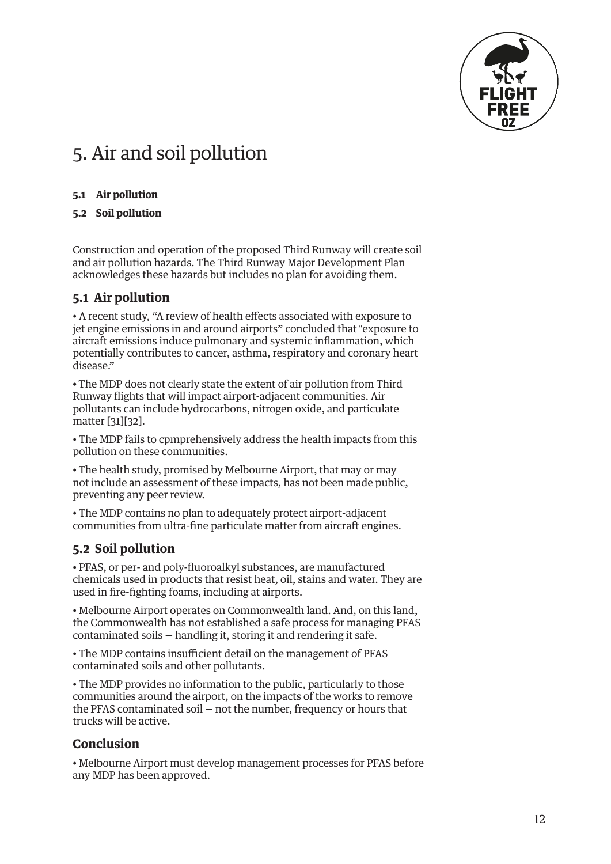

# <span id="page-11-0"></span>5. Air and soil pollution

#### **5.1 Air pollution**

#### **5.2 Soil pollution**

Construction and operation of the proposed Third Runway will create soil and air pollution hazards. The Third Runway Major Development Plan acknowledges these hazards but includes no plan for avoiding them.

#### **5.1 Air pollution**

• A recent study, ["A review of health effects associated with exposure to](https://ehjournal.biomedcentral.com/articles/10.1186/s12940-020-00690-y)  [jet engine emissions in and around airports"](https://ehjournal.biomedcentral.com/articles/10.1186/s12940-020-00690-y) concluded that "exposure to aircraft emissions induce pulmonary and systemic inflammation, which potentially contributes to cancer, asthma, respiratory and coronary heart disease."

**•** The MDP does not clearly state the extent of air pollution from Third Runway flights that will impact airport-adjacent communities. Air pollutants can include hydrocarbons, nitrogen oxide, and particulate matter [[31](#page-18-0)][\[32\]](#page-18-0).

• The MDP fails to cpmprehensively address the health impacts from this pollution on these communities.

• The health study, promised by Melbourne Airport, that may or may not include an assessment of these impacts, has not been made public, preventing any peer review.

• The MDP contains no plan to adequately protect airport-adjacent communities from ultra-fine particulate matter from aircraft engines.

# **5.2 Soil pollution**

• PFAS, or per- and poly-fluoroalkyl substances, are manufactured chemicals used in products that resist heat, oil, stains and water. They are used in fire-fighting foams, including at airports.

• Melbourne Airport operates on Commonwealth land. And, on this land, the Commonwealth has not established a safe process for managing PFAS contaminated soils — handling it, storing it and rendering it safe.

• The MDP contains insufficient detail on the management of PFAS contaminated soils and other pollutants.

• The MDP provides no information to the public, particularly to those communities around the airport, on the impacts of the works to remove the PFAS contaminated soil — not the number, frequency or hours that trucks will be active.

### **Conclusion**

• Melbourne Airport must develop management processes for PFAS before any MDP has been approved.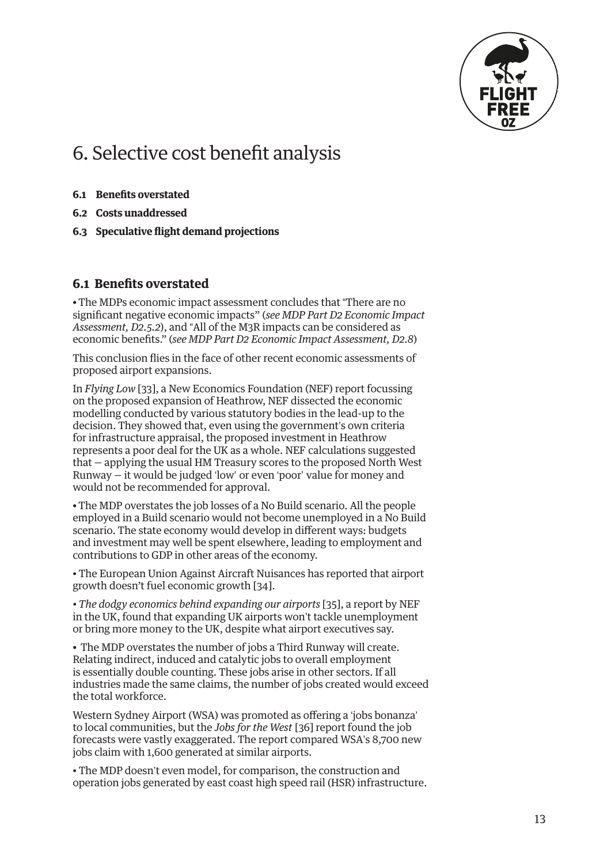

# <span id="page-12-0"></span>6. Selective cost benefit analysis

- **6.1 Benefits overstated**
- **6.2 Costs unaddressed**
- **6.3 Speculative flight demand projections**

#### **6.1 Benefits overstated**

**•** The MDPs economic impact assessment concludes that "There are no significant negative economic impacts" (*see MDP Part D2 Economic Impact Assessment, D2.5.2*), and "All of the M3R impacts can be considered as economic benefits." (*see MDP Part D2 Economic Impact Assessment, D2.8*)

This conclusion flies in the face of other recent economic assessments of proposed airport expansions.

In *Flying Low* [[33](#page-18-0)], a New Economics Foundation (NEF) report focussing on the proposed expansion of Heathrow, NEF dissected the economic modelling conducted by various statutory bodies in the lead-up to the decision. They showed that, even using the government's own criteria for infrastructure appraisal, the proposed investment in Heathrow represents a poor deal for the UK as a whole. NEF calculations suggested that — applying the usual HM Treasury scores to the proposed North West Runway — it would be judged 'low' or even 'poor' value for money and would not be recommended for approval.

**•** The MDP overstates the job losses of a No Build scenario. All the people employed in a Build scenario would not become unemployed in a No Build scenario. The state economy would develop in different ways: budgets and investment may well be spent elsewhere, leading to employment and contributions to GDP in other areas of the economy.

• The European Union Against Aircraft Nuisances has reported that airport growth doesn't fuel economic growth [\[34](#page-18-0)].

*• The dodgy economics behind expanding our airports* [\[35](#page-18-0)], a report by NEF in the UK, found that expanding UK airports won't tackle unemployment or bring more money to the UK, despite what airport executives say.

**•** The MDP overstates the number of jobs a Third Runway will create. Relating indirect, induced and catalytic jobs to overall employment is essentially double counting. These jobs arise in other sectors. If all industries made the same claims, the number of jobs created would exceed the total workforce.

Western Sydney Airport (WSA) was promoted as offering a 'jobs bonanza' to local communities, but the *Jobs for the West* [\[36\]](#page-18-0) report found the job forecasts were vastly exaggerated. The report compared WSA's 8,700 new jobs claim with 1,600 generated at similar airports.

• The MDP doesn't even model, for comparison, the construction and operation jobs generated by east coast high speed rail (HSR) infrastructure.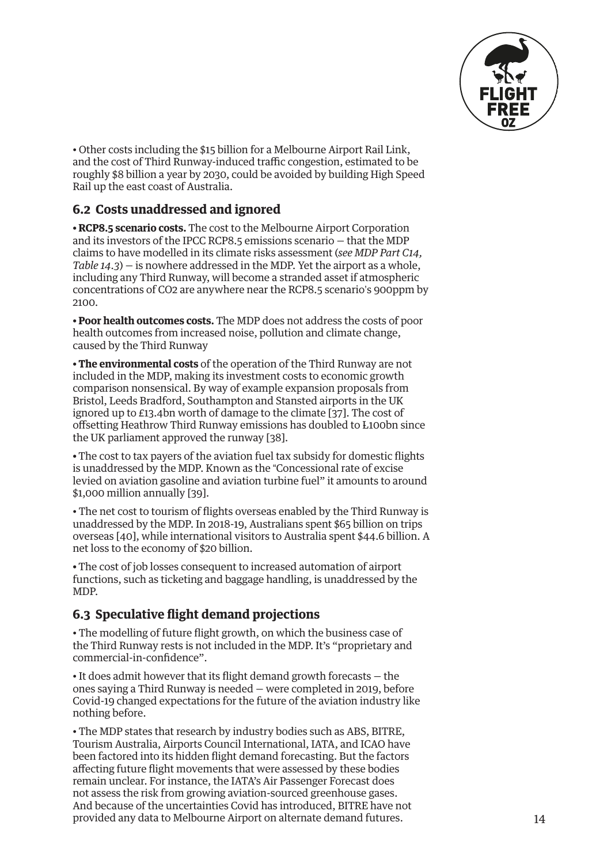

<span id="page-13-0"></span>• Other costs including the \$15 billion for a Melbourne Airport Rail Link, and the cost of Third Runway-induced traffic congestion, estimated to be roughly \$8 billion a year by 2030, could be avoided by building High Speed Rail up the east coast of Australia.

### **6.2 Costs unaddressed and ignored**

**• RCP8.5 scenario costs.** The cost to the Melbourne Airport Corporation and its investors of the IPCC RCP8.5 emissions scenario – that the MDP claims to have modelled in its climate risks assessment (*see MDP Part C14, Table 14.3*) — is nowhere addressed in the MDP. Yet the airport as a whole, including any Third Runway, will become a stranded asset if atmospheric concentrations of CO2 are anywhere near the RCP8.5 scenario's 900ppm by 2100.

**• Poor health outcomes costs.** The MDP does not address the costs of poor health outcomes from increased noise, pollution and climate change, caused by the Third Runway

**• The environmental costs** of the operation of the Third Runway are not included in the MDP, making its investment costs to economic growth comparison nonsensical. By way of example expansion proposals from Bristol, Leeds Bradford, Southampton and Stansted airports in the UK ignored up to £13.4bn worth of damage to the climate [\[37\]](#page-18-0). The cost of offsetting Heathrow Third Runway emissions has doubled to L100bn since the UK parliament approved the runway [\[38](#page-18-0)].

**•** The cost to tax payers of the aviation fuel tax subsidy for domestic flights is unaddressed by the MDP. Known as the "Concessional rate of excise levied on aviation gasoline and aviation turbine fuel" it amounts to around \$1,000 million annually [\[39](#page-18-0)].

• The net cost to tourism of flights overseas enabled by the Third Runway is unaddressed by the MDP. In 2018-19, Australians spent \$65 billion on trips overseas [[40\]](#page-18-0), while international visitors to Australia spent \$44.6 billion. A net loss to the economy of \$20 billion.

**•** The cost of job losses consequent to increased automation of airport functions, such as ticketing and baggage handling, is unaddressed by the MDP.

### **6.3 Speculative flight demand projections**

• The modelling of future flight growth, on which the business case of the Third Runway rests is not included in the MDP. It's "proprietary and commercial-in-confidence".

• It does admit however that its flight demand growth forecasts — the ones saying a Third Runway is needed — were completed in 2019, before Covid-19 changed expectations for the future of the aviation industry like nothing before.

• The MDP states that research by industry bodies such as ABS, BITRE, Tourism Australia, Airports Council International, IATA, and ICAO have been factored into its hidden flight demand forecasting. But the factors affecting future flight movements that were assessed by these bodies remain unclear. For instance, the IATA's Air Passenger Forecast does not assess the risk from growing aviation-sourced greenhouse gases. And because of the uncertainties Covid has introduced, BITRE have not provided any data to Melbourne Airport on alternate demand futures.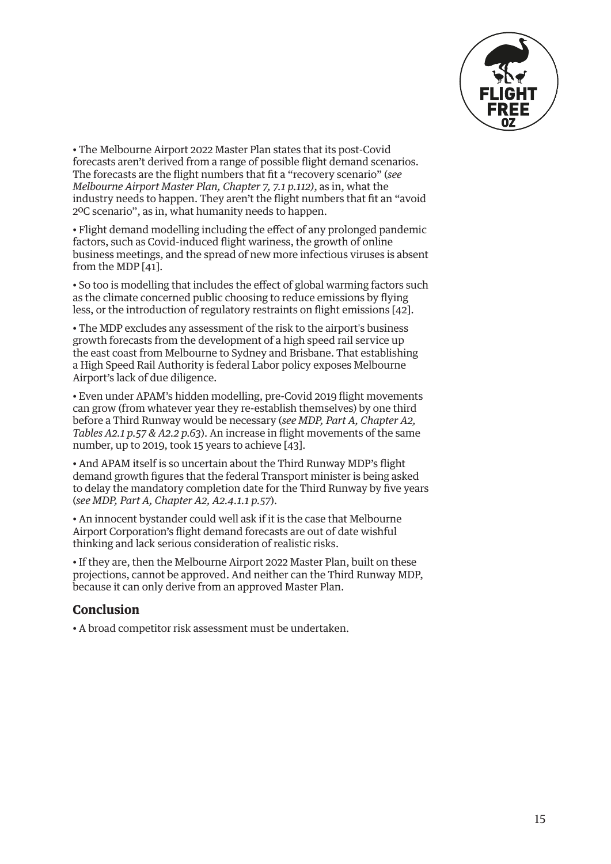

<span id="page-14-0"></span>• The Melbourne Airport 2022 Master Plan states that its post-Covid forecasts aren't derived from a range of possible flight demand scenarios. The forecasts are the flight numbers that fit a "recovery scenario" (*see Melbourne Airport Master Plan, Chapter 7, 7.1 p.112)*, as in, what the industry needs to happen. They aren't the flight numbers that fit an "avoid 2ºC scenario", as in, what humanity needs to happen.

• Flight demand modelling including the effect of any prolonged pandemic factors, such as Covid-induced flight wariness, the growth of online business meetings, and the spread of new more infectious viruses is absent from the MDP [[41\]](#page-18-0).

• So too is modelling that includes the effect of global warming factors such as the climate concerned public choosing to reduce emissions by flying less, or the introduction of regulatory restraints on flight emissions [[42\]](#page-18-0).

• The MDP excludes any assessment of the risk to the airport's business growth forecasts from the development of a high speed rail service up the east coast from Melbourne to Sydney and Brisbane. That establishing a High Speed Rail Authority is federal Labor policy exposes Melbourne Airport's lack of due diligence.

• Even under APAM's hidden modelling, pre-Covid 2019 flight movements can grow (from whatever year they re-establish themselves) by one third before a Third Runway would be necessary (*see MDP, Part A, Chapter A2, Tables A2.1 p.57 & A2.2 p.63*). An increase in flight movements of the same number, up to 2019, took 15 years to achieve [\[43](#page-18-0)].

• And APAM itself is so uncertain about the Third Runway MDP's flight demand growth figures that the federal Transport minister is being asked to delay the mandatory completion date for the Third Runway by five years (*see MDP, Part A, Chapter A2, A2.4.1.1 p.57*).

• An innocent bystander could well ask if it is the case that Melbourne Airport Corporation's flight demand forecasts are out of date wishful thinking and lack serious consideration of realistic risks.

• If they are, then the Melbourne Airport 2022 Master Plan, built on these projections, cannot be approved. And neither can the Third Runway MDP, because it can only derive from an approved Master Plan.

# **Conclusion**

• A broad competitor risk assessment must be undertaken.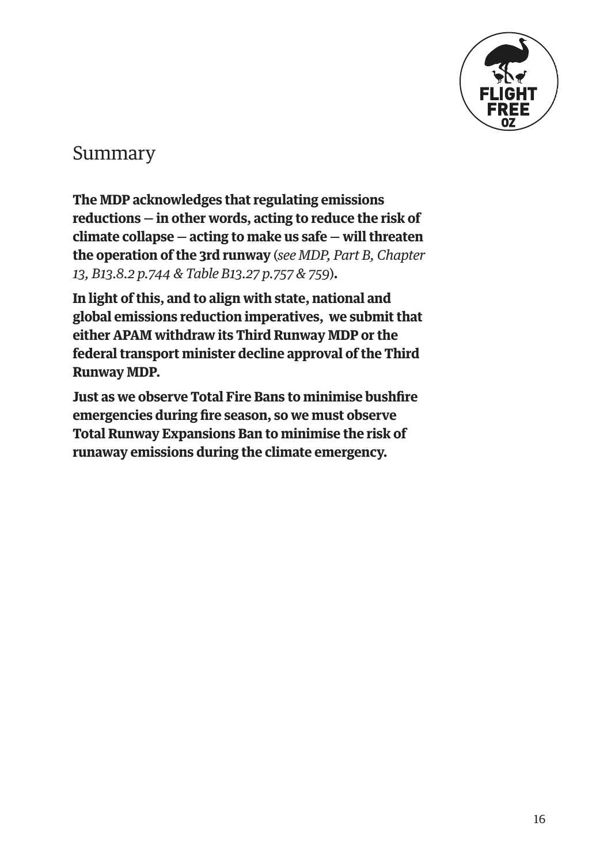

# Summary

**The MDP acknowledges that regulating emissions reductions — in other words, acting to reduce the risk of climate collapse — acting to make us safe — will threaten the operation of the 3rd runway** (*see MDP, Part B, Chapter 13, B13.8.2 p.744 & Table B13.27 p.757 & 759*)**.** 

**In light of this, and to align with state, national and global emissions reduction imperatives, we submit that either APAM withdraw its Third Runway MDP or the federal transport minister decline approval of the Third Runway MDP.**

**Just as we observe Total Fire Bans to minimise bushfire emergencies during fire season, so we must observe Total Runway Expansions Ban to minimise the risk of runaway emissions during the climate emergency.**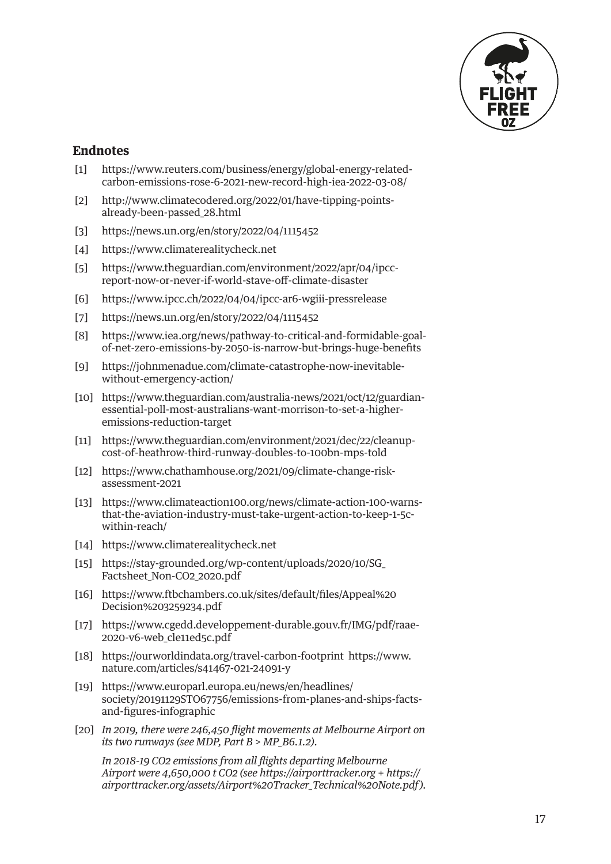

#### <span id="page-16-0"></span>**Endnotes**

- [\[1\]](#page-1-0) [https://www.reuters.com/business/energy/global-energy-related](https://www.reuters.com/business/energy/global-energy-related-carbon-emissions-rose-6-2021-new-record-high-iea-2022-03-08/)[carbon-emissions-rose-6-2021-new-record-high-iea-2022-03-08/](https://www.reuters.com/business/energy/global-energy-related-carbon-emissions-rose-6-2021-new-record-high-iea-2022-03-08/)
- [\[2\]](#page-1-0) [http://www.climatecodered.org/2022/01/have-tipping-points](http://www.climatecodered.org/2022/01/have-tipping-points-already-been-passed_28.html)[already-been-passed\\_28.html](http://www.climatecodered.org/2022/01/have-tipping-points-already-been-passed_28.html)
- [\[3\]](#page-1-0) <https://news.un.org/en/story/2022/04/1115452>
- [\[4\]](#page-1-0) <https://www.climaterealitycheck.net>
- [\[5\]](#page-1-0) [https://www.theguardian.com/environment/2022/apr/04/ipcc](https://www.theguardian.com/environment/2022/apr/04/ipcc-report-now-or-never-if-world-stave-off-climate-disaster)[report-now-or-never-if-world-stave-off-climate-disaster](https://www.theguardian.com/environment/2022/apr/04/ipcc-report-now-or-never-if-world-stave-off-climate-disaster)
- [\[6\]](#page-1-0) <https://www.ipcc.ch/2022/04/04/ipcc-ar6-wgiii-pressrelease>
- [\[7\]](#page-1-0) <https://news.un.org/en/story/2022/04/1115452>
- [\[8\]](#page-1-0) [https://www.iea.org/news/pathway-to-critical-and-formidable-goal](https://www.iea.org/news/pathway-to-critical-and-formidable-goal-of-net-zero-emissions-by-2050-is-narrow-but-brings-huge-benefits)[of-net-zero-emissions-by-2050-is-narrow-but-brings-huge-benefits](https://www.iea.org/news/pathway-to-critical-and-formidable-goal-of-net-zero-emissions-by-2050-is-narrow-but-brings-huge-benefits)
- [\[9\]](#page-1-0) [https://johnmenadue.com/climate-catastrophe-now-inevitable](https://johnmenadue.com/climate-catastrophe-now-inevitable-without-emergency-action/)[without-emergency-action/](https://johnmenadue.com/climate-catastrophe-now-inevitable-without-emergency-action/)
- [\[10\]](#page-1-0) [https://www.theguardian.com/australia-news/2021/oct/12/guardian](https://www.theguardian.com/australia-news/2021/oct/12/guardian-essential-poll-most-australians-want-morrison-to-set-a-higher-emissions-reduction-target)[essential-poll-most-australians-want-morrison-to-set-a-higher](https://www.theguardian.com/australia-news/2021/oct/12/guardian-essential-poll-most-australians-want-morrison-to-set-a-higher-emissions-reduction-target)[emissions-reduction-target](https://www.theguardian.com/australia-news/2021/oct/12/guardian-essential-poll-most-australians-want-morrison-to-set-a-higher-emissions-reduction-target)
- [\[11\]](#page-1-0) [https://www.theguardian.com/environment/2021/dec/22/cleanup](https://www.theguardian.com/environment/2021/dec/22/cleanup-cost-of-heathrow-third-runway-doubles-to-100bn-mps-told)[cost-of-heathrow-third-runway-doubles-to-100bn-mps-told](https://www.theguardian.com/environment/2021/dec/22/cleanup-cost-of-heathrow-third-runway-doubles-to-100bn-mps-told)
- [\[12\]](#page-1-0) [https://www.chathamhouse.org/2021/09/climate-change-risk](https://www.chathamhouse.org/2021/09/climate-change-risk-assessment-2021)[assessment-2021](https://www.chathamhouse.org/2021/09/climate-change-risk-assessment-2021)
- [\[13\]](#page-2-0) [https://www.climateaction100.org/news/climate-action-100-warns](https://www.climateaction100.org/news/climate-action-100-warns-that-the-aviation-industry-must-take-urgent-action-to-keep-1-5c-within-reach/)[that-the-aviation-industry-must-take-urgent-action-to-keep-1-5c](https://www.climateaction100.org/news/climate-action-100-warns-that-the-aviation-industry-must-take-urgent-action-to-keep-1-5c-within-reach/)[within-reach/](https://www.climateaction100.org/news/climate-action-100-warns-that-the-aviation-industry-must-take-urgent-action-to-keep-1-5c-within-reach/)
- [14] <https://www.climaterealitycheck.net>
- [\[15\]](#page-2-0) [https://stay-grounded.org/wp-content/uploads/2020/10/SG\\_](https://stay-grounded.org/wp-content/uploads/2020/10/SG_Factsheet_Non-CO2_2020.pdf) [Factsheet\\_Non-CO2\\_2020.pdf](https://stay-grounded.org/wp-content/uploads/2020/10/SG_Factsheet_Non-CO2_2020.pdf)
- [\[16\]](#page-2-0) [https://www.ftbchambers.co.uk/sites/default/files/Appeal%20](https://www.ftbchambers.co.uk/sites/default/files/Appeal%2520Decision%25203259234.pdf) [Decision%203259234.pdf](https://www.ftbchambers.co.uk/sites/default/files/Appeal%2520Decision%25203259234.pdf)
- [\[17\]](#page-2-0) [https://www.cgedd.developpement-durable.gouv.fr/IMG/pdf/raae-](https://www.cgedd.developpement-durable.gouv.fr/IMG/pdf/raae-2020-v6-web_cle11ed5c.pdf)2020-v6-web cle11ed5c.pdf
- [\[18\]](#page-2-0) <https://ourworldindata.org/travel-carbon-footprint> [https://www.](https://www.nature.com/articles/s41467-021-24091-y) [nature.com/articles/s41467-021-24091-y](https://www.nature.com/articles/s41467-021-24091-y)
- [\[19\]](#page-2-0) [https://www.europarl.europa.eu/news/en/headlines/](https://www.europarl.europa.eu/news/en/headlines/society/20191129STO67756/emissions-from-planes-and-ships-facts-and-figures-infographic) [society/20191129STO67756/emissions-from-planes-and-ships-facts](https://www.europarl.europa.eu/news/en/headlines/society/20191129STO67756/emissions-from-planes-and-ships-facts-and-figures-infographic)[and-figures-infographic](https://www.europarl.europa.eu/news/en/headlines/society/20191129STO67756/emissions-from-planes-and-ships-facts-and-figures-infographic)
- [\[20\]](#page-4-0) *In 2019, there were 246,450 flight movements at Melbourne Airport on its two runways (see MDP, Part B > MP\_B6.1.2).*

*In 2018-19 CO2 emissions from all flights departing Melbourne Airport were 4,650,000 t CO2 (see<https://airporttracker.org> + https:// airporttracker.org/assets/Airport%20Tracker\_Technical%20Note.pdf).*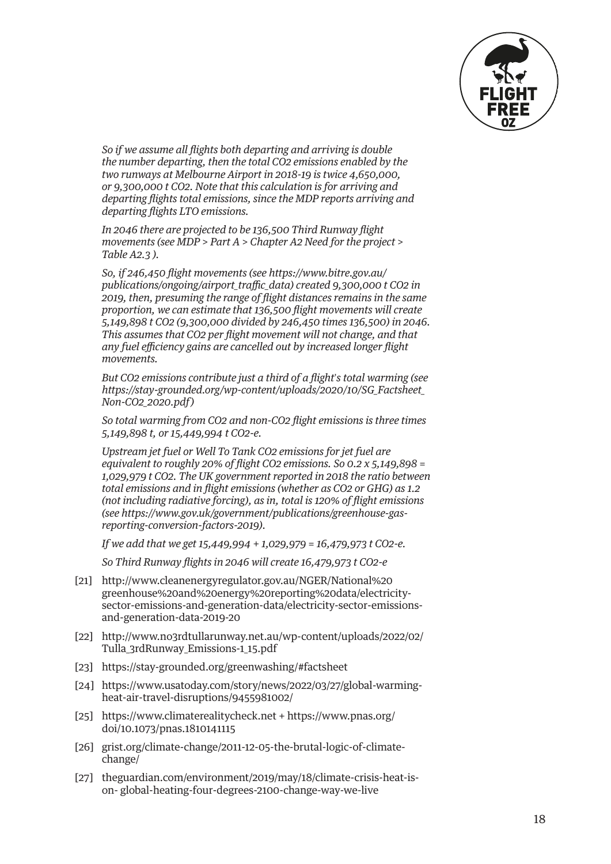

<span id="page-17-0"></span>*So if we assume all flights both departing and arriving is double the number departing, then the total CO2 emissions enabled by the two runways at Melbourne Airport in 2018-19 is twice 4,650,000, or 9,300,000 t CO2. Note that this calculation is for arriving and departing flights total emissions, since the MDP reports arriving and departing flights LTO emissions.* 

*In 2046 there are projected to be 136,500 Third Runway flight movements (see MDP > Part A > Chapter A2 Need for the project > Table A2.3 ).*

*So, if 246,450 flight movements (see [https://www.bitre.gov.au/](https://www.bitre.gov.au/publications/ongoing/airport_traffic_data) [publications/ongoing/airport\\_traffic\\_data\)](https://www.bitre.gov.au/publications/ongoing/airport_traffic_data) created 9,300,000 t CO2 in 2019, then, presuming the range of flight distances remains in the same proportion, we can estimate that 136,500 flight movements will create 5,149,898 t CO2 (9,300,000 divided by 246,450 times 136,500) in 2046. This assumes that CO2 per flight movement will not change, and that any fuel efficiency gains are cancelled out by increased longer flight movements.*

*But CO2 emissions contribute just a third of a flight*'*s total warming (see [https://stay-grounded.org/wp-content/uploads/2020/10/SG\\_Factsheet\\_](https://stay-grounded.org/wp-content/uploads/2020/10/SG_Factsheet_Non-CO2_2020.pdf) [Non-CO2\\_2020.pdf\)](https://stay-grounded.org/wp-content/uploads/2020/10/SG_Factsheet_Non-CO2_2020.pdf)*

*So total warming from CO2 and non-CO2 flight emissions is three times 5,149,898 t, or 15,449,994 t CO2-e.* 

*Upstream jet fuel or Well To Tank CO2 emissions for jet fuel are equivalent to roughly 20% of flight CO2 emissions. So 0.2 x 5,149,898 = 1,029,979 t CO2. The UK government reported in 2018 the ratio between total emissions and in flight emissions (whether as CO2 or GHG) as 1.2 (not including radiative forcing), as in, total is 120% of flight emissions (see [https://www.gov.uk/government/publications/greenhouse-gas](https://www.gov.uk/government/publications/greenhouse-gas-reporting-conversion-factors-2019)[reporting-conversion-factors-2019\)](https://www.gov.uk/government/publications/greenhouse-gas-reporting-conversion-factors-2019).* 

*If we add that we get 15,449,994 + 1,029,979 = 16,479,973 t CO2-e.* 

*So Third Runway flights in 2046 will create 16,479,973 t CO2-e*

- [\[21\]](#page-4-0) [http://www.cleanenergyregulator.gov.au/NGER/National%20](http://www.cleanenergyregulator.gov.au/NGER/National%20greenhouse%20and%20energy%20reporting%20data/electricity-sector-emissions-and-generation-data/electricity-sector-emissions-and-generation-data-2019-20) [greenhouse%20and%20energy%20reporting%20data/electricity](http://www.cleanenergyregulator.gov.au/NGER/National%20greenhouse%20and%20energy%20reporting%20data/electricity-sector-emissions-and-generation-data/electricity-sector-emissions-and-generation-data-2019-20)[sector-emissions-and-generation-data/electricity-sector-emissions](http://www.cleanenergyregulator.gov.au/NGER/National%20greenhouse%20and%20energy%20reporting%20data/electricity-sector-emissions-and-generation-data/electricity-sector-emissions-and-generation-data-2019-20)[and-generation-data-2019-20](http://www.cleanenergyregulator.gov.au/NGER/National%20greenhouse%20and%20energy%20reporting%20data/electricity-sector-emissions-and-generation-data/electricity-sector-emissions-and-generation-data-2019-20)
- [\[22\]](#page-4-0) [http://www.no3rdtullarunway.net.au/wp-content/uploads/2022/02/](http://www.no3rdtullarunway.net.au/wp-content/uploads/2022/02/Tulla_3rdRunway_Emissions-1_15.pdf) [Tulla\\_3rdRunway\\_Emissions-1\\_15.pdf](http://www.no3rdtullarunway.net.au/wp-content/uploads/2022/02/Tulla_3rdRunway_Emissions-1_15.pdf)
- [\[23\]](#page-4-0) <https://stay-grounded.org/greenwashing/#factsheet>
- [\[24\]](#page-6-0) [https://www.usatoday.com/story/news/2022/03/27/global-warming](https://www.usatoday.com/story/news/2022/03/27/global-warming-heat-air-travel-disruptions/9455981002/)[heat-air-travel-disruptions/9455981002/](https://www.usatoday.com/story/news/2022/03/27/global-warming-heat-air-travel-disruptions/9455981002/)
- [\[25\]](#page-6-0) <https://www.climaterealitycheck.net> + [https://www.pnas.org/](https://www.pnas.org/doi/10.1073/pnas.1810141115) [doi/10.1073/pnas.1810141115](https://www.pnas.org/doi/10.1073/pnas.1810141115)
- [\[26\]](#page-6-0) [grist.org/climate-change/2011-12-05-the-brutal-logic-of-climate](http://grist.org/climate-change/2011-12-05-the-brutal-logic-of-climate-change/)[change/](http://grist.org/climate-change/2011-12-05-the-brutal-logic-of-climate-change/)
- [27] [theguardian.com/environment/2019/may/18/climate-crisis-heat-is](http://theguardian.com/environment/2019/may/18/climate-crisis-heat-is-on-)[on-](http://theguardian.com/environment/2019/may/18/climate-crisis-heat-is-on-) global-heating-four-degrees-2100-change-way-we-live